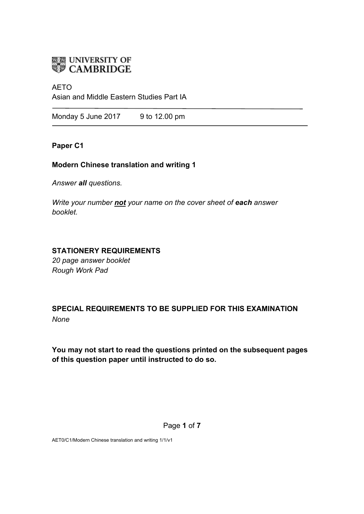

### AETO

Asian and Middle Eastern Studies Part IA

Monday 5 June 2017 9 to 12.00 pm

## **Paper C1**

### **Modern Chinese translation and writing 1**

*Answer all questions.*

*Write your number not your name on the cover sheet of each answer booklet.* 

## **STATIONERY REQUIREMENTS**

*20 page answer booklet Rough Work Pad*

**SPECIAL REQUIREMENTS TO BE SUPPLIED FOR THIS EXAMINATION** *None*

**You may not start to read the questions printed on the subsequent pages of this question paper until instructed to do so.**

Page **1** of **7**

AET0/C1/Modern Chinese translation and writing 1/1/v1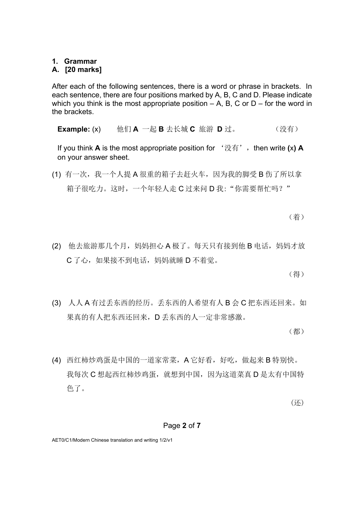## **1. Grammar**

## **A. [20 marks]**

After each of the following sentences, there is a word or phrase in brackets. In each sentence, there are four positions marked by A, B, C and D. Please indicate which you think is the most appropriate position  $- A$ , B, C or D – for the word in the brackets.

**Example:** (x) 他们 A 一起 B 去长城 C 旅游 D 过。 (没有)

If you think **A** is the most appropriate position for  $\forall x \notin Y$ , then write (x) **A** on your answer sheet.

(1) 有一次,我一个人提 A 很重的箱子去赶火车,因为我的脚受 B 伤了所以拿 箱子很吃力。这时,一个年轻人走 C 过来问 D 我: "你需要帮忙吗?"

(着)

(2) 他去旅游那几个月,妈妈担心 A 极了。每天只有接到他 B 电话,妈妈才放 C 了心,如果接不到电话,妈妈就睡 D 不着觉。

(得)

(3) 人人 A 有过丢东西的经历。丢东西的人希望有人 B 会 C 把东西还回来。如 果真的有人把东西还回来,D 丢东西的人一定非常感激。

(都)

(4) 西红柿炒鸡蛋是中国的一道家常菜,A 它好看,好吃,做起来 B 特别快。 我每次 C 想起西红柿炒鸡蛋, 就想到中国, 因为这道菜真 D 是太有中国特 色了。

(还)

#### Page **2** of **7**

AET0/C1/Modern Chinese translation and writing 1/2/v1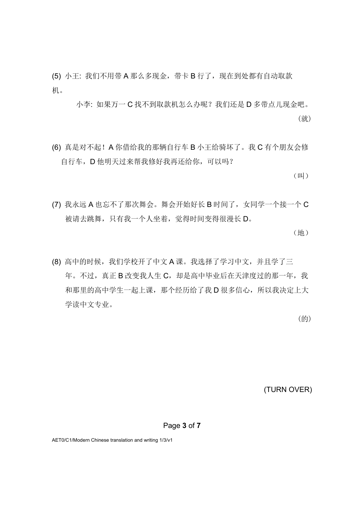(5) 小王: 我们不用带 A 那么多现金, 带卡 B 行了, 现在到处都有自动取款 机。

小李: 如果万一 C 找不到取款机怎么办呢? 我们还是 D 多带点儿现金吧。 (就)

(6) 真是对不起!A 你借给我的那辆自行车 B 小王给骑坏了。我 C 有个朋友会修 自行车,D 他明天过来帮我修好我再还给你,可以吗?

(叫)

(7) 我永远 A 也忘不了那次舞会。舞会开始好长 B 时间了,女同学一个接一个 C 被请去跳舞, 只有我一个人坐着, 觉得时间变得很漫长 D。

(地)

(8) 高中的时候,我们学校开了中文 A 课。我选择了学习中文,并且学了三 年。不过,真正 B 改变我人生 C, 却是高中毕业后在天津度过的那一年, 我 和那里的高中学生一起上课,那个经历给了我 D 很多信心, 所以我决定上大 学读中文专业。

(的)

(TURN OVER)

Page **3** of **7**

AET0/C1/Modern Chinese translation and writing 1/3/v1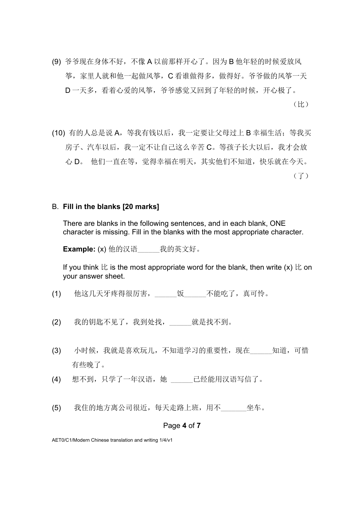- (9) 爷爷现在身体不好,不像 A 以前那样开心了。因为 B 他年轻的时候爱放风 筝,家里人就和他一起做风筝,C 看谁做得多,做得好。爷爷做的风筝一天 D 一天多,看着心爱的风筝,爷爷感觉又回到了年轻的时候,开心极了。 (比)
- (10) 有的人总是说 A, 等我有钱以后, 我一定要让父母过上 B 幸福生活; 等我买 房子、汽车以后,我一定不让自己这么辛苦 C。等孩子长大以后,我才会放 心 D。 他们一直在等, 觉得幸福在明天, 其实他们不知道, 快乐就在今天。 (了)

#### B. **Fill in the blanks [20 marks]**

There are blanks in the following sentences, and in each blank, ONE character is missing. Fill in the blanks with the most appropriate character.

**Example:** (x) 他的汉语\_\_\_\_\_\_\_我的英文好。

If you think  $\&$  is the most appropriate word for the blank, then write (x)  $\&$  on your answer sheet.

- (1) 他这几天牙疼得很厉害,\_\_\_\_\_\_饭\_\_\_\_\_\_不能吃了,真可怜。
- (2) 我的钥匙不见了,我到处找, 就是找不到。
- (3) 小时候,我就是喜欢玩儿,不知道学习的重要性,现在\_\_\_\_\_\_知道,可惜 有些晚了。
- (4) 想不到, 只学了一年汉语, 她 \_\_\_\_\_\_\_ 已经能用汉语写信了。
- (5) 我住的地方离公司很近,每天走路上班,用不\_\_\_\_\_\_\_坐车。

#### Page **4** of **7**

AET0/C1/Modern Chinese translation and writing 1/4/v1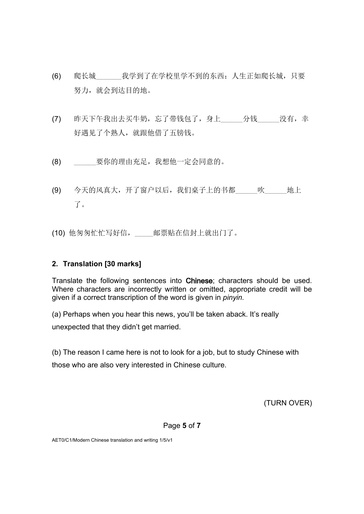- (6) 爬长城\_\_\_\_\_\_\_我学到了在学校里学不到的东西:人生正如爬长城,只要 努力,就会到达目的地。
- (7) 昨天下午我出去买牛奶,忘了带钱包了,身上\_\_\_\_\_\_分钱\_\_\_\_\_没有,幸 好遇见了个熟人,就跟他借了五镑钱。
- (8) \_\_\_\_\_\_要你的理由充足,我想他一定会同意的。
- (9) 今天的风真大,开了窗户以后,我们桌子上的书都 吹地上 了。
- (10) 他匆匆忙忙写好信,\_\_\_\_\_邮票贴在信封上就出门了。

# **2. Translation [30 marks]**

Translate the following sentences into Chinese; characters should be used. Where characters are incorrectly written or omitted, appropriate credit will be given if a correct transcription of the word is given in *pinyin.* 

(a) Perhaps when you hear this news, you'll be taken aback. It's really

unexpected that they didn't get married.

(b) The reason I came here is not to look for a job, but to study Chinese with those who are also very interested in Chinese culture.

(TURN OVER)

Page **5** of **7**

AET0/C1/Modern Chinese translation and writing 1/5/v1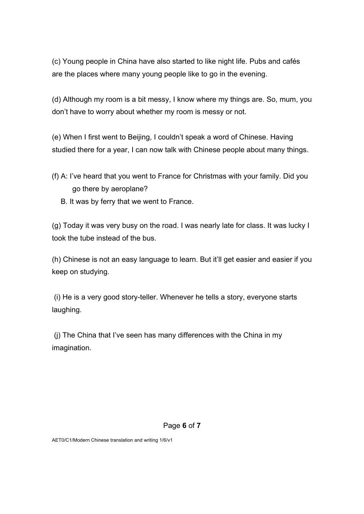(c) Young people in China have also started to like night life. Pubs and cafés are the places where many young people like to go in the evening.

(d) Although my room is a bit messy, I know where my things are. So, mum, you don't have to worry about whether my room is messy or not.

(e) When I first went to Beijing, I couldn't speak a word of Chinese. Having studied there for a year, I can now talk with Chinese people about many things.

- (f) A: I've heard that you went to France for Christmas with your family. Did you go there by aeroplane?
	- B. It was by ferry that we went to France.

(g) Today it was very busy on the road. I was nearly late for class. It was lucky I took the tube instead of the bus.

(h) Chinese is not an easy language to learn. But it'll get easier and easier if you keep on studying.

(i) He is a very good story-teller. Whenever he tells a story, everyone starts laughing.

(j) The China that I've seen has many differences with the China in my imagination.

#### Page **6** of **7**